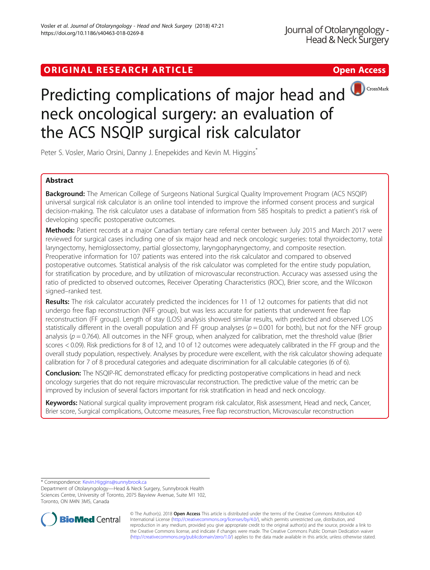# ORIGINAL RESEARCH ARTICLE **Solution Contract Contract Contract Contract Contract Contract Contract Contract Contract Contract Contract Contract Contract Contract Contract Contract Contract Contract Contract Contract Contra**



# Predicting complications of major head and **D**CrossMark neck oncological surgery: an evaluation of the ACS NSQIP surgical risk calculator

Peter S. Vosler, Mario Orsini, Danny J. Enepekides and Kevin M. Higgins\*

# Abstract

Background: The American College of Surgeons National Surgical Quality Improvement Program (ACS NSQIP) universal surgical risk calculator is an online tool intended to improve the informed consent process and surgical decision-making. The risk calculator uses a database of information from 585 hospitals to predict a patient's risk of developing specific postoperative outcomes.

Methods: Patient records at a major Canadian tertiary care referral center between July 2015 and March 2017 were reviewed for surgical cases including one of six major head and neck oncologic surgeries: total thyroidectomy, total laryngectomy, hemiglossectomy, partial glossectomy, laryngopharyngectomy, and composite resection. Preoperative information for 107 patients was entered into the risk calculator and compared to observed postoperative outcomes. Statistical analysis of the risk calculator was completed for the entire study population, for stratification by procedure, and by utilization of microvascular reconstruction. Accuracy was assessed using the ratio of predicted to observed outcomes, Receiver Operating Characteristics (ROC), Brier score, and the Wilcoxon signed–ranked test.

Results: The risk calculator accurately predicted the incidences for 11 of 12 outcomes for patients that did not undergo free flap reconstruction (NFF group), but was less accurate for patients that underwent free flap reconstruction (FF group). Length of stay (LOS) analysis showed similar results, with predicted and observed LOS statistically different in the overall population and FF group analyses ( $p = 0.001$  for both), but not for the NFF group analysis ( $p = 0.764$ ). All outcomes in the NFF group, when analyzed for calibration, met the threshold value (Brier scores < 0.09). Risk predictions for 8 of 12, and 10 of 12 outcomes were adequately calibrated in the FF group and the overall study population, respectively. Analyses by procedure were excellent, with the risk calculator showing adequate calibration for 7 of 8 procedural categories and adequate discrimination for all calculable categories (6 of 6).

**Conclusion:** The NSQIP-RC demonstrated efficacy for predicting postoperative complications in head and neck oncology surgeries that do not require microvascular reconstruction. The predictive value of the metric can be improved by inclusion of several factors important for risk stratification in head and neck oncology.

Keywords: National surgical quality improvement program risk calculator, Risk assessment, Head and neck, Cancer, Brier score, Surgical complications, Outcome measures, Free flap reconstruction, Microvascular reconstruction

\* Correspondence: [Kevin.Higgins@sunnybrook.ca](mailto:Kevin.Higgins@sunnybrook.ca)

Department of Otolaryngology—Head & Neck Surgery, Sunnybrook Health Sciences Centre, University of Toronto, 2075 Bayview Avenue, Suite M1 102, Toronto, ON M4N 3M5, Canada



© The Author(s). 2018 Open Access This article is distributed under the terms of the Creative Commons Attribution 4.0 International License [\(http://creativecommons.org/licenses/by/4.0/](http://creativecommons.org/licenses/by/4.0/)), which permits unrestricted use, distribution, and reproduction in any medium, provided you give appropriate credit to the original author(s) and the source, provide a link to the Creative Commons license, and indicate if changes were made. The Creative Commons Public Domain Dedication waiver [\(http://creativecommons.org/publicdomain/zero/1.0/](http://creativecommons.org/publicdomain/zero/1.0/)) applies to the data made available in this article, unless otherwise stated.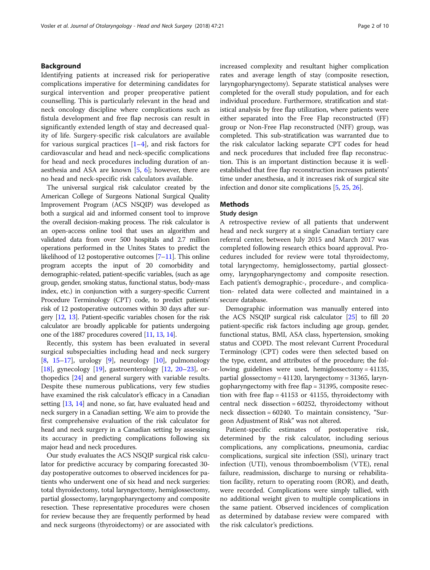# Background

Identifying patients at increased risk for perioperative complications imperative for determining candidates for surgical intervention and proper preoperative patient counselling. This is particularly relevant in the head and neck oncology discipline where complications such as fistula development and free flap necrosis can result in significantly extended length of stay and decreased quality of life. Surgery-specific risk calculators are available for various surgical practices [[1](#page-8-0)–[4](#page-8-0)], and risk factors for cardiovascular and head and neck-specific complications for head and neck procedures including duration of anaesthesia and ASA are known [\[5,](#page-8-0) [6\]](#page-8-0); however, there are no head and neck-specific risk calculators available.

The universal surgical risk calculator created by the American College of Surgeons National Surgical Quality Improvement Program (ACS NSQIP) was developed as both a surgical aid and informed consent tool to improve the overall decision-making process. The risk calculator is an open-access online tool that uses an algorithm and validated data from over 500 hospitals and 2.7 million operations performed in the Unites States to predict the likelihood of 12 postoperative outcomes [[7](#page-8-0)–[11](#page-9-0)]. This online program accepts the input of 20 comorbidity and demographic-related, patient-specific variables, (such as age group, gender, smoking status, functional status, body-mass index, etc.) in conjunction with a surgery-specific Current Procedure Terminology (CPT) code, to predict patients' risk of 12 postoperative outcomes within 30 days after surgery [\[12](#page-9-0), [13\]](#page-9-0). Patient-specific variables chosen for the risk calculator are broadly applicable for patients undergoing one of the 1887 procedures covered [\[11,](#page-9-0) [13,](#page-9-0) [14\]](#page-9-0).

Recently, this system has been evaluated in several surgical subspecialties including head and neck surgery  $[8, 15-17]$  $[8, 15-17]$  $[8, 15-17]$  $[8, 15-17]$  $[8, 15-17]$  $[8, 15-17]$  $[8, 15-17]$ , urology  $[9]$  $[9]$ , neurology  $[10]$  $[10]$ , pulmonology [[18\]](#page-9-0), gynecology [\[19\]](#page-9-0), gastroenterology [[12,](#page-9-0) [20](#page-9-0)–[23\]](#page-9-0), orthopedics [[24\]](#page-9-0) and general surgery with variable results. Despite these numerous publications, very few studies have examined the risk calculator's efficacy in a Canadian setting [[13](#page-9-0), [14](#page-9-0)] and none, so far, have evaluated head and neck surgery in a Canadian setting. We aim to provide the first comprehensive evaluation of the risk calculator for head and neck surgery in a Canadian setting by assessing its accuracy in predicting complications following six major head and neck procedures.

Our study evaluates the ACS NSQIP surgical risk calculator for predictive accuracy by comparing forecasted 30 day postoperative outcomes to observed incidences for patients who underwent one of six head and neck surgeries: total thyroidectomy, total laryngectomy, hemiglossectomy, partial glossectomy, laryngopharyngectomy and composite resection. These representative procedures were chosen for review because they are frequently performed by head and neck surgeons (thyroidectomy) or are associated with increased complexity and resultant higher complication rates and average length of stay (composite resection, laryngopharyngectomy). Separate statistical analyses were completed for the overall study population, and for each individual procedure. Furthermore, stratification and statistical analysis by free flap utilization, where patients were either separated into the Free Flap reconstructed (FF) group or Non-Free Flap reconstructed (NFF) group, was completed. This sub-stratification was warranted due to the risk calculator lacking separate CPT codes for head and neck procedures that included free flap reconstruction. This is an important distinction because it is wellestablished that free flap reconstruction increases patients' time under anesthesia, and it increases risk of surgical site infection and donor site complications [\[5](#page-8-0), [25,](#page-9-0) [26\]](#page-9-0).

# Methods

#### Study design

A retrospective review of all patients that underwent head and neck surgery at a single Canadian tertiary care referral center, between July 2015 and March 2017 was completed following research ethics board approval. Procedures included for review were total thyroidectomy, total laryngectomy, hemiglossectomy, partial glossectomy, laryngopharyngectomy and composite resection. Each patient's demographic-, procedure-, and complication- related data were collected and maintained in a secure database.

Demographic information was manually entered into the ACS NSQIP surgical risk calculator [\[25](#page-9-0)] to fill 20 patient-specific risk factors including age group, gender, functional status, BMI, ASA class, hypertension, smoking status and COPD. The most relevant Current Procedural Terminology (CPT) codes were then selected based on the type, extent, and attributes of the procedure; the following guidelines were used, hemiglossectomy = 41135, partial glossectomy = 41120, laryngectomy = 31365, laryngopharyngectomy with free flap = 31395, composite resection with free flap = 41153 or 41155, thyroidectomy with central neck dissection = 60252, thyroidectomy without neck dissection = 60240. To maintain consistency, "Surgeon Adjustment of Risk" was not altered.

Patient-specific estimates of postoperative risk, determined by the risk calculator, including serious complications, any complications, pneumonia, cardiac complications, surgical site infection (SSI), urinary tract infection (UTI), venous thromboembolism (VTE), renal failure, readmission, discharge to nursing or rehabilitation facility, return to operating room (ROR), and death, were recorded. Complications were simply tallied, with no additional weight given to multiple complications in the same patient. Observed incidences of complication as determined by database review were compared with the risk calculator's predictions.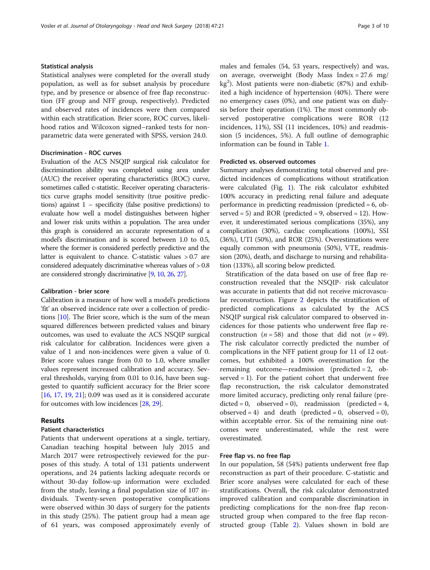## Statistical analysis

Statistical analyses were completed for the overall study population, as well as for subset analysis by procedure type, and by presence or absence of free flap reconstruction (FF group and NFF group, respectively). Predicted and observed rates of incidences were then compared within each stratification. Brier score, ROC curves, likelihood ratios and Wilcoxon signed–ranked tests for nonparametric data were generated with SPSS, version 24.0.

## Discrimination - ROC curves

Evaluation of the ACS NSQIP surgical risk calculator for discrimination ability was completed using area under (AUC) the receiver operating characteristics (ROC) curve, sometimes called c-statistic. Receiver operating characteristics curve graphs model sensitivity (true positive predictions) against  $1$  – specificity (false positive predictions) to evaluate how well a model distinguishes between higher and lower risk units within a population. The area under this graph is considered an accurate representation of a model's discrimination and is scored between 1.0 to 0.5, where the former is considered perfectly predictive and the latter is equivalent to chance. C-statistic values > 0.7 are considered adequately discriminative whereas values of > 0.8 are considered strongly discriminative [\[9](#page-9-0), [10,](#page-9-0) [26,](#page-9-0) [27\]](#page-9-0).

#### Calibration - brier score

Calibration is a measure of how well a model's predictions 'fit' an observed incidence rate over a collection of predictions [[10](#page-9-0)]. The Brier score, which is the sum of the mean squared differences between predicted values and binary outcomes, was used to evaluate the ACS NSQIP surgical risk calculator for calibration. Incidences were given a value of 1 and non-incidences were given a value of 0. Brier score values range from 0.0 to 1.0, where smaller values represent increased calibration and accuracy. Several thresholds, varying from 0.01 to 0.16, have been suggested to quantify sufficient accuracy for the Brier score [[16](#page-9-0), [17](#page-9-0), [19](#page-9-0), [21\]](#page-9-0); 0.09 was used as it is considered accurate for outcomes with low incidences [[28](#page-9-0), [29\]](#page-9-0).

# Results

#### Patient characteristics

Patients that underwent operations at a single, tertiary, Canadian teaching hospital between July 2015 and March 2017 were retrospectively reviewed for the purposes of this study. A total of 131 patients underwent operations, and 24 patients lacking adequate records or without 30-day follow-up information were excluded from the study, leaving a final population size of 107 individuals. Twenty-seven postoperative complications were observed within 30 days of surgery for the patients in this study (25%). The patient group had a mean age of 61 years, was composed approximately evenly of males and females (54, 53 years, respectively) and was, on average, overweight (Body Mass Index = 27.6 mg/ kg<sup>2</sup>). Most patients were non-diabetic (87%) and exhibited a high incidence of hypertension (40%). There were no emergency cases (0%), and one patient was on dialysis before their operation (1%). The most commonly observed postoperative complications were ROR (12 incidences, 11%), SSI (11 incidences, 10%) and readmission (5 incidences, 5%). A full outline of demographic information can be found in Table [1](#page-3-0).

## Predicted vs. observed outcomes

Summary analyses demonstrating total observed and predicted incidences of complications without stratification were calculated (Fig. [1](#page-4-0)). The risk calculator exhibited 100% accuracy in predicting renal failure and adequate performance in predicting readmission (predicted = 6, observed  $= 5$ ) and ROR (predicted  $= 9$ , observed  $= 12$ ). However, it underestimated serious complications (35%), any complication (30%), cardiac complications (100%), SSI (36%), UTI (50%), and ROR (25%). Overestimations were equally common with pneumonia (50%), VTE, readmission (20%), death, and discharge to nursing and rehabilitation (133%), all scoring below predicted.

Stratification of the data based on use of free flap reconstruction revealed that the NSQIP- risk calculator was accurate in patients that did not receive microvascular reconstruction. Figure [2](#page-5-0) depicts the stratification of predicted complications as calculated by the ACS NSQIP surgical risk calculator compared to observed incidences for those patients who underwent free flap reconstruction ( $n = 58$ ) and those that did not ( $n = 49$ ). The risk calculator correctly predicted the number of complications in the NFF patient group for 11 of 12 outcomes, but exhibited a 100% overestimation for the remaining outcome—readmission (predicted = 2, observed  $= 1$ ). For the patient cohort that underwent free flap reconstruction, the risk calculator demonstrated more limited accuracy, predicting only renal failure (pre $dicted = 0$ , observed = 0), readmission (predicted = 4, observed = 4) and death (predicted = 0, observed = 0), within acceptable error. Six of the remaining nine outcomes were underestimated, while the rest were overestimated.

# Free flap vs. no free flap

In our population, 58 (54%) patients underwent free flap reconstruction as part of their procedure. C-statistic and Brier score analyses were calculated for each of these stratifications. Overall, the risk calculator demonstrated improved calibration and comparable discrimination in predicting complications for the non-free flap reconstructed group when compared to the free flap reconstructed group (Table [2\)](#page-5-0). Values shown in bold are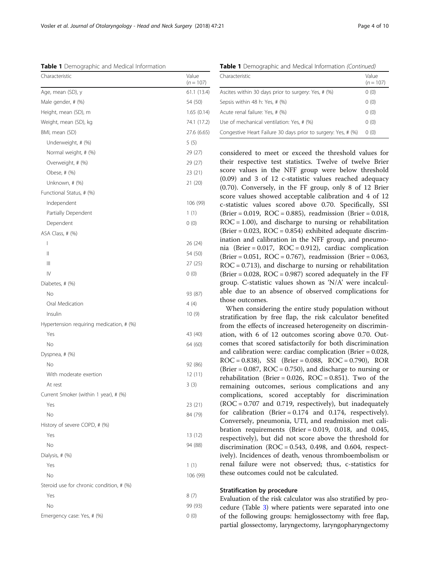their respective test statistics. Twelve of twelve Brier score values in the NFF group were below threshold (0.09) and 3 of 12 c-statistic values reached adequacy (0.70). Conversely, in the FF group, only 8 of 12 Brier score values showed acceptable calibration and 4 of 12 c-statistic values scored above 0.70. Specifically, SSI (Brier = 0.019, ROC = 0.885), readmission (Brier = 0.018,  $ROC = 1.00$ , and discharge to nursing or rehabilitation  $(Brier = 0.023, ROC = 0.854)$  exhibited adequate discrimination and calibration in the NFF group, and pneumonia (Brier = 0.017, ROC = 0.912), cardiac complication  $(Brier = 0.051, ROC = 0.767)$ , readmission (Brier = 0.063,  $ROC = 0.713$ , and discharge to nursing or rehabilitation  $(Brier = 0.028, ROC = 0.987)$  scored adequately in the FF group. C-statistic values shown as 'N/A' were incalculable due to an absence of observed complications for those outcomes.

When considering the entire study population without stratification by free flap, the risk calculator benefited from the effects of increased heterogeneity on discrimination, with 6 of 12 outcomes scoring above 0.70. Outcomes that scored satisfactorily for both discrimination and calibration were: cardiac complication (Brier = 0.028, ROC = 0.838), SSI (Brier = 0.088, ROC = 0.790), ROR (Brier =  $0.087$ , ROC =  $0.750$ ), and discharge to nursing or rehabilitation (Brier =  $0.026$ , ROC =  $0.851$ ). Two of the remaining outcomes, serious complications and any complications, scored acceptably for discrimination  $(ROC = 0.707$  and 0.719, respectively), but inadequately for calibration (Brier =  $0.174$  and 0.174, respectively). Conversely, pneumonia, UTI, and readmission met calibration requirements (Brier = 0.019, 0.018, and 0.045, respectively), but did not score above the threshold for discrimination  $(ROC = 0.543, 0.498, and 0.604, respectively.$ ively). Incidences of death, venous thromboembolism or renal failure were not observed; thus, c-statistics for these outcomes could not be calculated.

## Stratification by procedure

Evaluation of the risk calculator was also stratified by procedure (Table [3](#page-6-0)) where patients were separated into one of the following groups: hemiglossectomy with free flap, partial glossectomy, laryngectomy, laryngopharyngectomy

<span id="page-3-0"></span>Table 1 Demographic and Medical Information

| Characteristic                           | Value<br>$(n = 107)$ |
|------------------------------------------|----------------------|
| Age, mean (SD), y                        | 61.1 (13.4)          |
| Male gender, # (%)                       | 54 (50)              |
| Height, mean (SD), m                     | 1.65(0.14)           |
| Weight, mean (SD), kg                    | 74.1 (17.2)          |
| BMI, mean (SD)                           | 27.6 (6.65)          |
| Underweight, # (%)                       | 5(5)                 |
| Normal weight, # (%)                     | 29 (27)              |
| Overweight, # (%)                        | 29 (27)              |
| Obese, # (%)                             | 23 (21)              |
| Unknown, # (%)                           | 21 (20)              |
| Functional Status, # (%)                 |                      |
| Independent                              | 106 (99)             |
| Partially Dependent                      | 1(1)                 |
| Dependent                                | 0(0)                 |
| ASA Class, # (%)                         |                      |
| $\overline{1}$                           | 26 (24)              |
| $\mathsf{II}$                            | 54 (50)              |
| Ш                                        | 27(25)               |
| IV                                       | 0(0)                 |
| Diabetes, # (%)                          |                      |
| No                                       | 93 (87)              |
| Oral Medication                          | 4(4)                 |
| Insulin                                  | 10(9)                |
| Hypertension requiring medication, # (%) |                      |
| Yes                                      | 43 (40)              |
| No                                       | 64 (60)              |
| Dyspnea, # (%)                           |                      |
| No                                       | 92 (86)              |
| With moderate exertion                   | 12(11)               |
| At rest                                  | 3(3)                 |
| Current Smoker (within 1 year), # (%)    |                      |
| Yes                                      | 23 (21)              |
| No                                       | 84 (79)              |
| History of severe COPD, # (%)            |                      |
| Yes                                      | 13 (12)              |
| No                                       | 94 (88)              |
| Dialysis, # (%)                          |                      |
| Yes                                      | 1(1)                 |
| No                                       | 106 (99)             |
| Steroid use for chronic condition, # (%) |                      |
| Yes                                      | 8(7)                 |
| No                                       | 99 (93)              |
| Emergency case: Yes, # (%)               | 0(0)                 |

Table 1 Demographic and Medical Information (Continued)

| Value<br>Characteristic<br>$(n = 107)$<br>Ascites within 30 days prior to surgery: Yes, # (%)<br>0(0)<br>Sepsis within 48 h: Yes, # (%)<br>0(0)<br>0(0)<br>Acute renal failure: Yes, # (%)<br>Use of mechanical ventilation: Yes, # (%)<br>0(0)<br>Congestive Heart Failure 30 days prior to surgery: Yes, # (%)<br>0(0) |  |
|--------------------------------------------------------------------------------------------------------------------------------------------------------------------------------------------------------------------------------------------------------------------------------------------------------------------------|--|
|                                                                                                                                                                                                                                                                                                                          |  |
|                                                                                                                                                                                                                                                                                                                          |  |
|                                                                                                                                                                                                                                                                                                                          |  |
|                                                                                                                                                                                                                                                                                                                          |  |
|                                                                                                                                                                                                                                                                                                                          |  |
|                                                                                                                                                                                                                                                                                                                          |  |

considered to meet or exceed the threshold values for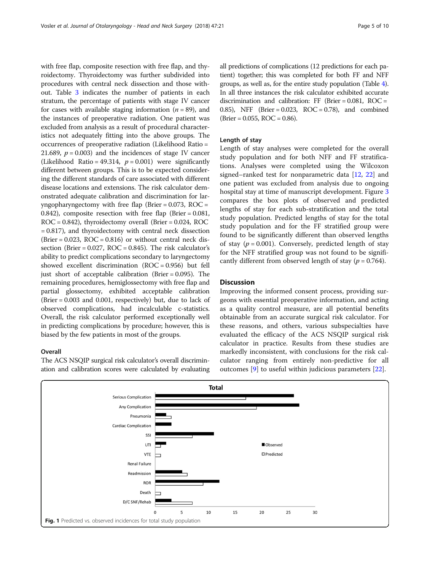<span id="page-4-0"></span>with free flap, composite resection with free flap, and thyroidectomy. Thyroidectomy was further subdivided into procedures with central neck dissection and those without. Table [3](#page-6-0) indicates the number of patients in each stratum, the percentage of patients with stage IV cancer for cases with available staging information ( $n = 89$ ), and the instances of preoperative radiation. One patient was excluded from analysis as a result of procedural characteristics not adequately fitting into the above groups. The occurrences of preoperative radiation (Likelihood Ratio = 21.689,  $p = 0.003$ ) and the incidences of stage IV cancer (Likelihood Ratio = 49.314,  $p = 0.001$ ) were significantly different between groups. This is to be expected considering the different standards of care associated with different disease locations and extensions. The risk calculator demonstrated adequate calibration and discrimination for laryngopharyngectomy with free flap (Brier =  $0.073$ , ROC = 0.842), composite resection with free flap (Brier = 0.081,  $ROC = 0.842$ ), thyroidectomy overall (Brier = 0.024, ROC = 0.817), and thyroidectomy with central neck dissection (Brier =  $0.023$ , ROC =  $0.816$ ) or without central neck dissection (Brier =  $0.027$ , ROC =  $0.845$ ). The risk calculator's ability to predict complications secondary to laryngectomy showed excellent discrimination  $(ROC = 0.956)$  but fell just short of acceptable calibration (Brier = 0.095). The remaining procedures, hemiglossectomy with free flap and partial glossectomy, exhibited acceptable calibration (Brier = 0.003 and 0.001, respectively) but, due to lack of observed complications, had incalculable c-statistics. Overall, the risk calculator performed exceptionally well in predicting complications by procedure; however, this is biased by the few patients in most of the groups.

## **Overall**

The ACS NSQIP surgical risk calculator's overall discrimination and calibration scores were calculated by evaluating all predictions of complications (12 predictions for each patient) together; this was completed for both FF and NFF groups, as well as, for the entire study population (Table [4](#page-6-0)). In all three instances the risk calculator exhibited accurate discrimination and calibration: FF (Brier = 0.081, ROC = 0.85), NFF (Brier = 0.023, ROC = 0.78), and combined  $(Brier = 0.055, ROC = 0.86).$ 

#### Length of stay

Length of stay analyses were completed for the overall study population and for both NFF and FF stratifications. Analyses were completed using the Wilcoxon signed–ranked test for nonparametric data [[12,](#page-9-0) [22](#page-9-0)] and one patient was excluded from analysis due to ongoing hospital stay at time of manuscript development. Figure [3](#page-7-0) compares the box plots of observed and predicted lengths of stay for each sub-stratification and the total study population. Predicted lengths of stay for the total study population and for the FF stratified group were found to be significantly different than observed lengths of stay ( $p = 0.001$ ). Conversely, predicted length of stay for the NFF stratified group was not found to be significantly different from observed length of stay ( $p = 0.764$ ).

# **Discussion**

Improving the informed consent process, providing surgeons with essential preoperative information, and acting as a quality control measure, are all potential benefits obtainable from an accurate surgical risk calculator. For these reasons, and others, various subspecialties have evaluated the efficacy of the ACS NSQIP surgical risk calculator in practice. Results from these studies are markedly inconsistent, with conclusions for the risk calculator ranging from entirely non-predictive for all outcomes [\[9](#page-9-0)] to useful within judicious parameters [[22](#page-9-0)].

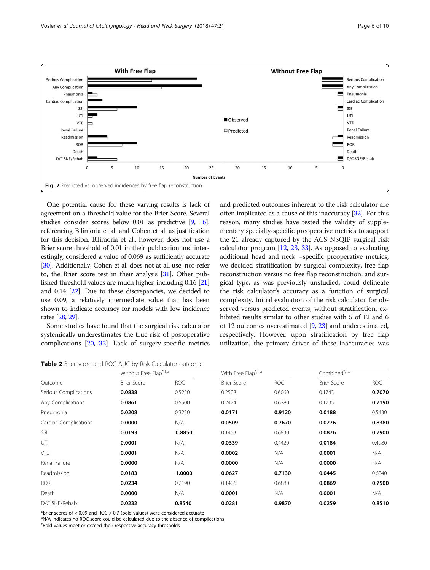<span id="page-5-0"></span>

One potential cause for these varying results is lack of agreement on a threshold value for the Brier Score. Several studies consider scores below 0.01 as predictive [\[9,](#page-9-0) [16](#page-9-0)], referencing Bilimoria et al. and Cohen et al. as justification for this decision. Bilimoria et al., however, does not use a Brier score threshold of 0.01 in their publication and interestingly, considered a value of 0.069 as sufficiently accurate [[30](#page-9-0)]. Additionally, Cohen et al. does not at all use, nor refer to, the Brier score test in their analysis [[31\]](#page-9-0). Other published threshold values are much higher, including 0.16 [\[21](#page-9-0)] and 0.14 [\[22](#page-9-0)]. Due to these discrepancies, we decided to use 0.09, a relatively intermediate value that has been shown to indicate accuracy for models with low incidence rates [[28](#page-9-0), [29](#page-9-0)].

Some studies have found that the surgical risk calculator systemically underestimates the true risk of postoperative complications [\[20](#page-9-0), [32\]](#page-9-0). Lack of surgery-specific metrics and predicted outcomes inherent to the risk calculator are often implicated as a cause of this inaccuracy [\[32\]](#page-9-0). For this reason, many studies have tested the validity of supplementary specialty-specific preoperative metrics to support the 21 already captured by the ACS NSQIP surgical risk calculator program  $[12, 23, 33]$  $[12, 23, 33]$  $[12, 23, 33]$  $[12, 23, 33]$  $[12, 23, 33]$  $[12, 23, 33]$  $[12, 23, 33]$ . As opposed to evaluating additional head and neck –specific preoperative metrics, we decided stratification by surgical complexity, free flap reconstruction versus no free flap reconstruction, and surgical type, as was previously unstudied, could delineate the risk calculator's accuracy as a function of surgical complexity. Initial evaluation of the risk calculator for observed versus predicted events, without stratification, exhibited results similar to other studies with 5 of 12 and 6 of 12 outcomes overestimated [\[9](#page-9-0), [23\]](#page-9-0) and underestimated, respectively. However, upon stratification by free flap utilization, the primary driver of these inaccuracies was

Table 2 Brier score and ROC AUC by Risk Calculator outcome

|                       | Without Free Flap*, t,a |        | With Free Flap*, t,a |            | Combined*, t,a     |            |
|-----------------------|-------------------------|--------|----------------------|------------|--------------------|------------|
| Outcome               | <b>Brier Score</b>      | ROC    | <b>Brier Score</b>   | <b>ROC</b> | <b>Brier Score</b> | <b>ROC</b> |
| Serious Complications | 0.0838                  | 0.5220 | 0.2508               | 0.6060     | 0.1743             | 0.7070     |
| Any Complications     | 0.0861                  | 0.5500 | 0.2474               | 0.6280     | 0.1735             | 0.7190     |
| Pneumonia             | 0.0208                  | 0.3230 | 0.0171               | 0.9120     | 0.0188             | 0.5430     |
| Cardiac Complications | 0.0000                  | N/A    | 0.0509               | 0.7670     | 0.0276             | 0.8380     |
| SSI                   | 0.0193                  | 0.8850 | 0.1453               | 0.6830     | 0.0876             | 0.7900     |
| UTI                   | 0.0001                  | N/A    | 0.0339               | 0.4420     | 0.0184             | 0.4980     |
| <b>VTE</b>            | 0.0001                  | N/A    | 0.0002               | N/A        | 0.0001             | N/A        |
| Renal Failure         | 0.0000                  | N/A    | 0.0000               | N/A        | 0.0000             | N/A        |
| Readmission           | 0.0183                  | 1.0000 | 0.0627               | 0.7130     | 0.0445             | 0.6040     |
| <b>ROR</b>            | 0.0234                  | 0.2190 | 0.1406               | 0.6880     | 0.0869             | 0.7500     |
| Death                 | 0.0000                  | N/A    | 0.0001               | N/A        | 0.0001             | N/A        |
| D/C SNF/Rehab         | 0.0232                  | 0.8540 | 0.0281               | 0.9870     | 0.0259             | 0.8510     |

\*Brier scores of < 0.09 and ROC > 0.7 (bold values) were considered accurate

<sup>a</sup>N/A indicates no ROC score could be calculated due to the absence of complications

† Bold values meet or exceed their respective accuracy thresholds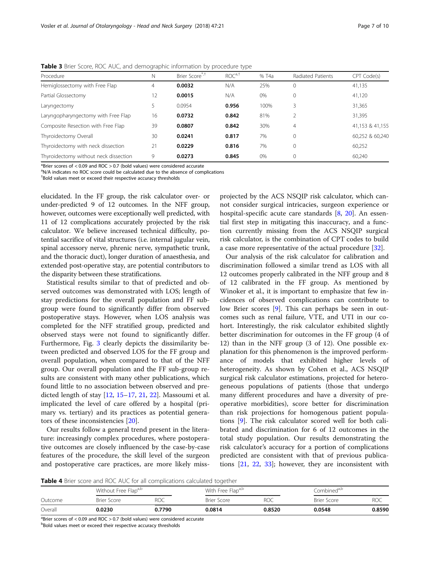| Procedure                           |    | Brier Score <sup>",†</sup> | ROC <sup>a,t</sup> | $%$ T <sub>4</sub> a | Radiated Patients | CPT Code(s) |
|-------------------------------------|----|----------------------------|--------------------|----------------------|-------------------|-------------|
| Hemiglossectomy with Free Flap      |    | 0.0032                     | N/A                | 25%                  |                   | 41,135      |
| Partial Glossectomy                 |    | 0.0015                     | N/A                | 0%                   |                   | 41,120      |
| Laryngectomy                        |    | 0.0954                     | 0.956              | 100%                 |                   | 31.365      |
| Laryngopharyngectomy with Free Flap | 16 | 0.0732                     | 0.842              | 81%                  |                   | 31.395      |

Composite Resection with Free Flap 39 0.0807 0.842 30% 4 4 41,153 & 41,153 41,155 Thyroidectomy Overall a a manual 30 **0.0241 0.817** 7% 0 0 60,252 & 60,240

Thyroidectomy with neck dissection 21 **0.0229 0.816** 7% 0 60,252 Thyroidectomy without neck dissection  $9$  0.0273 0.845 0% 0 60,240

<span id="page-6-0"></span>Table 3 Brier Score, ROC AUC, and demographic information by procedure type

\*Brier scores of < 0.09 and ROC > 0.7 (bold values) were considered accurate

<sup>a</sup>N/A indicates no ROC score could be calculated due to the absence of complications

† Bold values meet or exceed their respective accuracy thresholds

elucidated. In the FF group, the risk calculator over- or under-predicted 9 of 12 outcomes. In the NFF group, however, outcomes were exceptionally well predicted, with 11 of 12 complications accurately projected by the risk calculator. We believe increased technical difficulty, potential sacrifice of vital structures (i.e. internal jugular vein, spinal accessory nerve, phrenic nerve, sympathetic trunk, and the thoracic duct), longer duration of anaesthesia, and extended post-operative stay, are potential contributors to the disparity between these stratifications.

Statistical results similar to that of predicted and observed outcomes was demonstrated with LOS; length of stay predictions for the overall population and FF subgroup were found to significantly differ from observed postoperative stays. However, when LOS analysis was completed for the NFF stratified group, predicted and observed stays were not found to significantly differ. Furthermore, Fig. [3](#page-7-0) clearly depicts the dissimilarity between predicted and observed LOS for the FF group and overall population, when compared to that of the NFF group. Our overall population and the FF sub-group results are consistent with many other publications, which found little to no association between observed and predicted length of stay [\[12](#page-9-0), [15](#page-9-0)–[17,](#page-9-0) [21,](#page-9-0) [22](#page-9-0)]. Massoumi et al. implicated the level of care offered by a hospital (primary vs. tertiary) and its practices as potential generators of these inconsistencies [[20](#page-9-0)].

Our results follow a general trend present in the literature: increasingly complex procedures, where postoperative outcomes are closely influenced by the case-by-case features of the procedure, the skill level of the surgeon and postoperative care practices, are more likely missprojected by the ACS NSQIP risk calculator, which cannot consider surgical intricacies, surgeon experience or hospital-specific acute care standards [\[8,](#page-8-0) [20\]](#page-9-0). An essential first step in mitigating this inaccuracy, and a function currently missing from the ACS NSQIP surgical risk calculator, is the combination of CPT codes to build a case more representative of the actual procedure [[32\]](#page-9-0).

Our analysis of the risk calculator for calibration and discrimination followed a similar trend as LOS with all 12 outcomes properly calibrated in the NFF group and 8 of 12 calibrated in the FF group. As mentioned by Winoker et al., it is important to emphasize that few incidences of observed complications can contribute to low Brier scores [[9\]](#page-9-0). This can perhaps be seen in outcomes such as renal failure, VTE, and UTI in our cohort. Interestingly, the risk calculator exhibited slightly better discrimination for outcomes in the FF group (4 of 12) than in the NFF group (3 of 12). One possible explanation for this phenomenon is the improved performance of models that exhibited higher levels of heterogeneity. As shown by Cohen et al., ACS NSQIP surgical risk calculator estimations, projected for heterogeneous populations of patients (those that undergo many different procedures and have a diversity of preoperative morbidities), score better for discrimination than risk projections for homogenous patient populations [\[9](#page-9-0)]. The risk calculator scored well for both calibrated and discrimination for 6 of 12 outcomes in the total study population. Our results demonstrating the risk calculator's accuracy for a portion of complications predicted are consistent with that of previous publications [[21,](#page-9-0) [22](#page-9-0), [33](#page-9-0)]; however, they are inconsistent with

Table 4 Brier score and ROC AUC for all complications calculated together

|         |                    | Without Free Flapa,b |             | With Free Flapa,b |                    | Combined <sup>a,b</sup> |  |
|---------|--------------------|----------------------|-------------|-------------------|--------------------|-------------------------|--|
| Outcome | <b>Brier Score</b> | <b>ROC</b>           | Brier Score | <b>ROC</b>        | <b>Brier Score</b> | ROC                     |  |
| Overall | 0.0230             | 0.7790               | 0.0814      | 0.8520            | 0.0548             | 0.8590                  |  |

 $^{\text{a}}$ Brier scores of < 0.09 and ROC > 0.7 (bold values) were considered accurate

**bBold values meet or exceed their respective accuracy thresholds**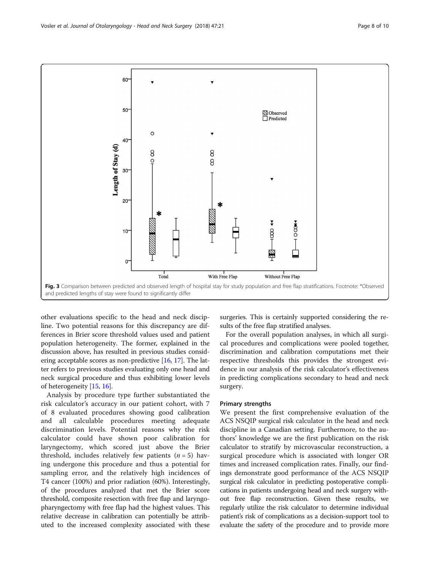<span id="page-7-0"></span>

other evaluations specific to the head and neck discipline. Two potential reasons for this discrepancy are differences in Brier score threshold values used and patient population heterogeneity. The former, explained in the discussion above, has resulted in previous studies considering acceptable scores as non-predictive  $[16, 17]$  $[16, 17]$  $[16, 17]$  $[16, 17]$ . The latter refers to previous studies evaluating only one head and neck surgical procedure and thus exhibiting lower levels of heterogeneity [\[15,](#page-9-0) [16\]](#page-9-0).

Analysis by procedure type further substantiated the risk calculator's accuracy in our patient cohort, with 7 of 8 evaluated procedures showing good calibration and all calculable procedures meeting adequate discrimination levels. Potential reasons why the risk calculator could have shown poor calibration for laryngectomy, which scored just above the Brier threshold, includes relatively few patients  $(n = 5)$  having undergone this procedure and thus a potential for sampling error, and the relatively high incidences of T4 cancer (100%) and prior radiation (60%). Interestingly, of the procedures analyzed that met the Brier score threshold, composite resection with free flap and laryngopharyngectomy with free flap had the highest values. This relative decrease in calibration can potentially be attributed to the increased complexity associated with these

surgeries. This is certainly supported considering the results of the free flap stratified analyses.

For the overall population analyses, in which all surgical procedures and complications were pooled together, discrimination and calibration computations met their respective thresholds this provides the strongest evidence in our analysis of the risk calculator's effectiveness in predicting complications secondary to head and neck surgery.

#### Primary strengths

We present the first comprehensive evaluation of the ACS NSQIP surgical risk calculator in the head and neck discipline in a Canadian setting. Furthermore, to the authors' knowledge we are the first publication on the risk calculator to stratify by microvascular reconstruction, a surgical procedure which is associated with longer OR times and increased complication rates. Finally, our findings demonstrate good performance of the ACS NSQIP surgical risk calculator in predicting postoperative complications in patients undergoing head and neck surgery without free flap reconstruction. Given these results, we regularly utilize the risk calculator to determine individual patient's risk of complications as a decision-support tool to evaluate the safety of the procedure and to provide more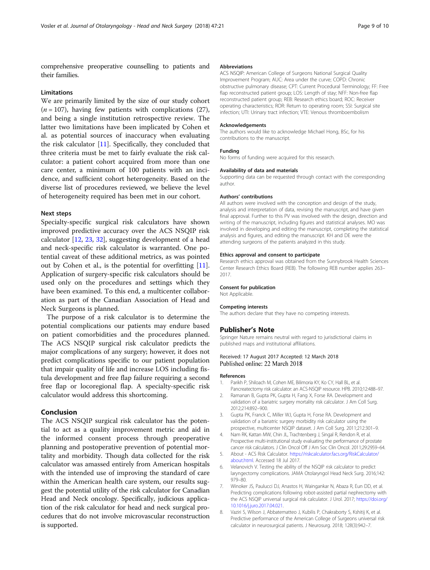<span id="page-8-0"></span>comprehensive preoperative counselling to patients and their families.

#### Limitations

We are primarily limited by the size of our study cohort  $(n = 107)$ , having few patients with complications (27), and being a single institution retrospective review. The latter two limitations have been implicated by Cohen et al. as potential sources of inaccuracy when evaluating the risk calculator [\[11](#page-9-0)]. Specifically, they concluded that three criteria must be met to fairly evaluate the risk calculator: a patient cohort acquired from more than one care center, a minimum of 100 patients with an incidence, and sufficient cohort heterogeneity. Based on the diverse list of procedures reviewed, we believe the level of heterogeneity required has been met in our cohort.

#### Next steps

Specialty-specific surgical risk calculators have shown improved predictive accuracy over the ACS NSQIP risk calculator [[12,](#page-9-0) [23,](#page-9-0) [32\]](#page-9-0), suggesting development of a head and neck-specific risk calculator is warranted. One potential caveat of these additional metrics, as was pointed out by Cohen et al., is the potential for overfitting [\[11](#page-9-0)]. Application of surgery-specific risk calculators should be used only on the procedures and settings which they have been examined. To this end, a multicenter collaboration as part of the Canadian Association of Head and Neck Surgeons is planned.

The purpose of a risk calculator is to determine the potential complications our patients may endure based on patient comorbidities and the procedures planned. The ACS NSQIP surgical risk calculator predicts the major complications of any surgery; however, it does not predict complications specific to our patient population that impair quality of life and increase LOS including fistula development and free flap failure requiring a second free flap or locoregional flap. A specialty-specific risk calculator would address this shortcoming.

#### Conclusion

The ACS NSQIP surgical risk calculator has the potential to act as a quality improvement metric and aid in the informed consent process through preoperative planning and postoperative prevention of potential mortality and morbidity. Though data collected for the risk calculator was amassed entirely from American hospitals with the intended use of improving the standard of care within the American health care system, our results suggest the potential utility of the risk calculator for Canadian Head and Neck oncology. Specifically, judicious application of the risk calculator for head and neck surgical procedures that do not involve microvascular reconstruction is supported.

#### Abbreviations

ACS NSQIP: American College of Surgeons National Surgical Quality Improvement Program; AUC: Area under the curve; COPD: Chronic obstructive pulmonary disease; CPT: Current Procedural Terminology; FF: Free flap reconstructed patient group; LOS: Length of stay; NFF: Non-free flap reconstructed patient group; REB: Research ethics board; ROC: Receiver operating characteristics; ROR: Return to operating room; SSI: Surgical site infection; UTI: Urinary tract infection; VTE: Venous thromboembolism

#### Acknowledgements

The authors would like to acknowledge Michael Hong, BSc, for his contributions to the manuscript.

#### Funding

No forms of funding were acquired for this research.

#### Availability of data and materials

Supporting data can be requested through contact with the corresponding author.

#### Authors' contributions

All authors were involved with the conception and design of the study, analysis and interpretation of data, revising the manuscript, and have given final approval. Further to this PV was involved with the design, direction and writing of the manuscript, including figures and statistical analyses. MO was involved in developing and editing the manuscript, completing the statistical analysis and figures, and editing the manuscript. KH and DE were the attending surgeons of the patients analyzed in this study.

#### Ethics approval and consent to participate

Research ethics approval was obtained from the Sunnybrook Health Sciences Center Research Ethics Board (REB). The following REB number applies 263– 2017.

# Consent for publication

Not Applicable.

#### Competing interests

The authors declare that they have no competing interests.

#### Publisher's Note

Springer Nature remains neutral with regard to jurisdictional claims in published maps and institutional affiliations.

#### Received: 17 August 2017 Accepted: 12 March 2018 Published online: 22 March 2018

#### References

- 1. Parikh P, Shiloach M, Cohen ME, Bilimoria KY, Ko CY, Hall BL, et al. Pancreatectomy risk calculator: an ACS-NSQIP resource. HPB. 2010;12:488–97.
- 2. Ramanan B, Gupta PK, Gupta H, Fang X, Forse RA. Development and validation of a bariatric surgery mortality risk calculator. J Am Coll Surg. 2012;214:892–900.
- 3. Gupta PK, Franck C, Miller WJ, Gupta H, Forse RA. Development and validation of a bariatric surgery morbidity risk calculator using the prospective, multicenter NSQIP dataset. J Am Coll Surg. 2011;212:301–9.
- 4. Nam RK, Kattan MW, Chin JL, Trachtenberg J, Singal R, Rendon R, et al. Prospective multi-institutional study evaluating the performance of prostate cancer risk calculators. J Clin Oncol Off J Am Soc Clin Oncol. 2011;29:2959–64.
- 5. About ACS Risk Calculator. [https://riskcalculator.facs.org/RiskCalculator/](https://riskcalculator.facs.org/RiskCalculator/about.html) [about.html.](https://riskcalculator.facs.org/RiskCalculator/about.html) Accessed 18 Jul 2017.
- Velanovich V. Testing the ability of the NSQIP risk calculator to predict laryngectomy complications. JAMA Otolaryngol Head Neck Surg. 2016;142: 979–80.
- 7. Winoker JS, Paulucci DJ, Anastos H, Waingankar N, Abaza R, Eun DD, et al. Predicting complications following robot-assisted partial nephrectomy with the ACS NSQIP universal surgical risk calculator. J Urol. 2017; [https://doi.org/](https://doi.org/10.1016/j.juro.2017.04.021) [10.1016/j.juro.2017.04.021.](https://doi.org/10.1016/j.juro.2017.04.021)
- 8. Vaziri S, Wilson J, Abbatematteo J, Kubilis P, Chakraborty S, Kshitij K, et al. Predictive performance of the American College of Surgeons universal risk calculator in neurosurgical patients. J Neurosurg. 2018; 128(3):942–7.